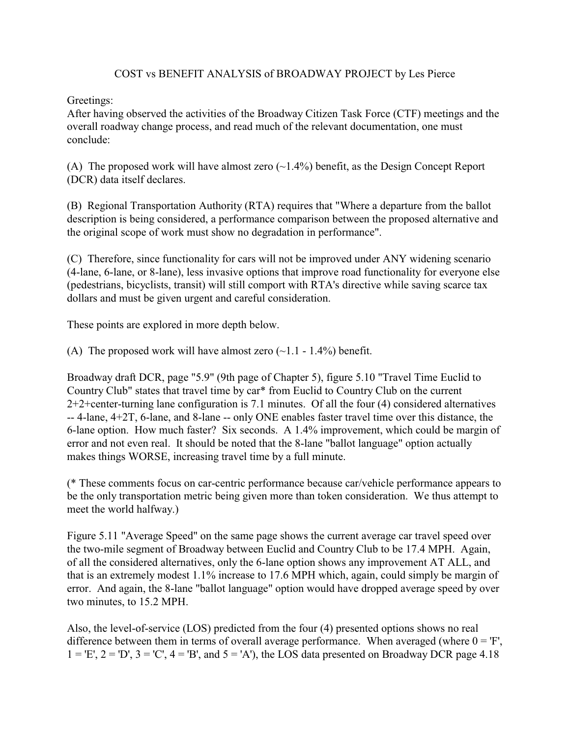## COST vs BENEFIT ANALYSIS of BROADWAY PROJECT by Les Pierce

Greetings:

After having observed the activities of the Broadway Citizen Task Force (CTF) meetings and the overall roadway change process, and read much of the relevant documentation, one must conclude:

(A) The proposed work will have almost zero  $(-1.4\%)$  benefit, as the Design Concept Report (DCR) data itself declares.

(B) Regional Transportation Authority (RTA) requires that "Where a departure from the ballot description is being considered, a performance comparison between the proposed alternative and the original scope of work must show no degradation in performance".

(C) Therefore, since functionality for cars will not be improved under ANY widening scenario (4-lane, 6-lane, or 8-lane), less invasive options that improve road functionality for everyone else (pedestrians, bicyclists, transit) will still comport with RTA's directive while saving scarce tax dollars and must be given urgent and careful consideration.

These points are explored in more depth below.

(A) The proposed work will have almost zero  $(\sim 1.1 - 1.4\%)$  benefit.

Broadway draft DCR, page "5.9" (9th page of Chapter 5), figure 5.10 "Travel Time Euclid to Country Club" states that travel time by car\* from Euclid to Country Club on the current 2+2+center-turning lane configuration is 7.1 minutes. Of all the four (4) considered alternatives -- 4-lane, 4+2T, 6-lane, and 8-lane -- only ONE enables faster travel time over this distance, the 6-lane option. How much faster? Six seconds. A 1.4% improvement, which could be margin of error and not even real. It should be noted that the 8-lane "ballot language" option actually makes things WORSE, increasing travel time by a full minute.

(\* These comments focus on car-centric performance because car/vehicle performance appears to be the only transportation metric being given more than token consideration. We thus attempt to meet the world halfway.)

Figure 5.11 "Average Speed" on the same page shows the current average car travel speed over the two-mile segment of Broadway between Euclid and Country Club to be 17.4 MPH. Again, of all the considered alternatives, only the 6-lane option shows any improvement AT ALL, and that is an extremely modest 1.1% increase to 17.6 MPH which, again, could simply be margin of error. And again, the 8-lane "ballot language" option would have dropped average speed by over two minutes, to 15.2 MPH.

Also, the level-of-service (LOS) predicted from the four (4) presented options shows no real difference between them in terms of overall average performance. When averaged (where  $0 = F$ ,  $1 = E$ ,  $2 = D$ ,  $3 = C$ ,  $4 = B$ , and  $5 = A$ ), the LOS data presented on Broadway DCR page 4.18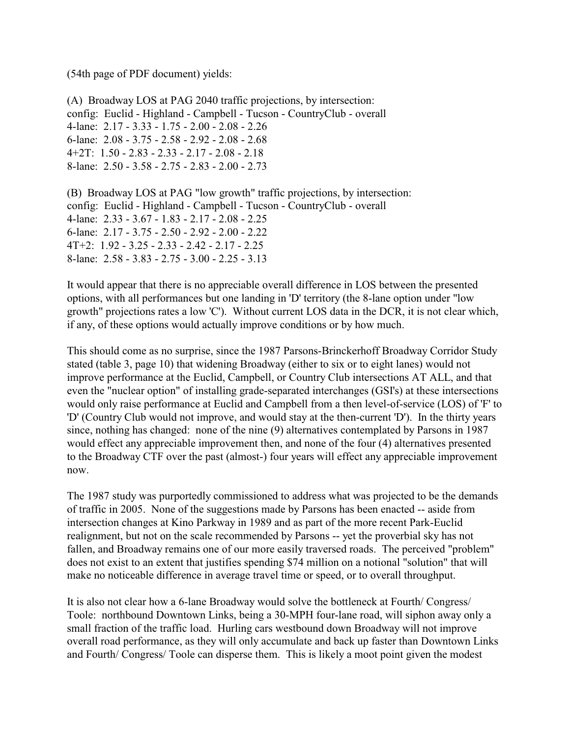(54th page of PDF document) yields:

(A) Broadway LOS at PAG 2040 traffic projections, by intersection: config: Euclid - Highland - Campbell - Tucson - CountryClub - overall 4-lane: 2.17 - 3.33 - 1.75 - 2.00 - 2.08 - 2.26 6-lane: 2.08 - 3.75 - 2.58 - 2.92 - 2.08 - 2.68 4+2T: 1.50 - 2.83 - 2.33 - 2.17 - 2.08 - 2.18 8-lane: 2.50 - 3.58 - 2.75 - 2.83 - 2.00 - 2.73

(B) Broadway LOS at PAG "low growth" traffic projections, by intersection: config: Euclid - Highland - Campbell - Tucson - CountryClub - overall 4-lane: 2.33 - 3.67 - 1.83 - 2.17 - 2.08 - 2.25 6-lane: 2.17 - 3.75 - 2.50 - 2.92 - 2.00 - 2.22 4T+2: 1.92 - 3.25 - 2.33 - 2.42 - 2.17 - 2.25 8-lane: 2.58 - 3.83 - 2.75 - 3.00 - 2.25 - 3.13

It would appear that there is no appreciable overall difference in LOS between the presented options, with all performances but one landing in 'D' territory (the 8-lane option under "low growth" projections rates a low 'C'). Without current LOS data in the DCR, it is not clear which, if any, of these options would actually improve conditions or by how much.

This should come as no surprise, since the 1987 Parsons-Brinckerhoff Broadway Corridor Study stated (table 3, page 10) that widening Broadway (either to six or to eight lanes) would not improve performance at the Euclid, Campbell, or Country Club intersections AT ALL, and that even the "nuclear option" of installing grade-separated interchanges (GSI's) at these intersections would only raise performance at Euclid and Campbell from a then level-of-service (LOS) of 'F' to 'D' (Country Club would not improve, and would stay at the then-current 'D'). In the thirty years since, nothing has changed: none of the nine (9) alternatives contemplated by Parsons in 1987 would effect any appreciable improvement then, and none of the four (4) alternatives presented to the Broadway CTF over the past (almost-) four years will effect any appreciable improvement now.

The 1987 study was purportedly commissioned to address what was projected to be the demands of traffic in 2005. None of the suggestions made by Parsons has been enacted -- aside from intersection changes at Kino Parkway in 1989 and as part of the more recent Park-Euclid realignment, but not on the scale recommended by Parsons -- yet the proverbial sky has not fallen, and Broadway remains one of our more easily traversed roads. The perceived "problem" does not exist to an extent that justifies spending \$74 million on a notional "solution" that will make no noticeable difference in average travel time or speed, or to overall throughput.

It is also not clear how a 6-lane Broadway would solve the bottleneck at Fourth/ Congress/ Toole: northbound Downtown Links, being a 30-MPH four-lane road, will siphon away only a small fraction of the traffic load. Hurling cars westbound down Broadway will not improve overall road performance, as they will only accumulate and back up faster than Downtown Links and Fourth/ Congress/ Toole can disperse them. This is likely a moot point given the modest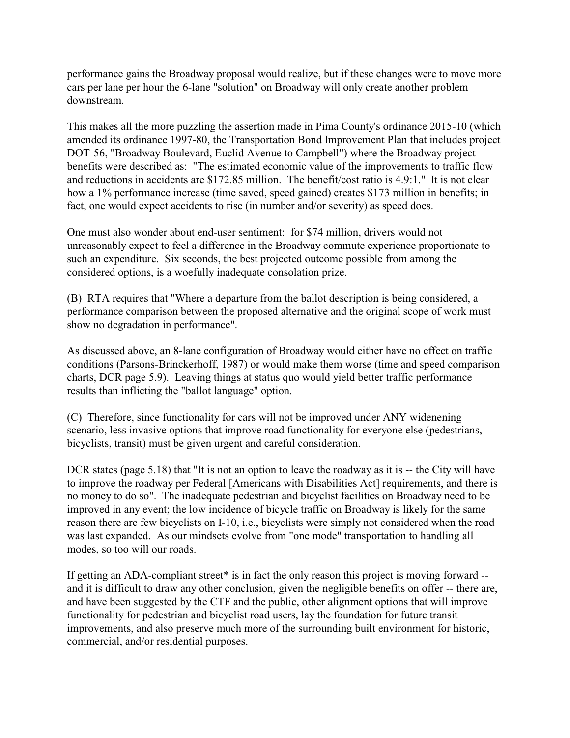performance gains the Broadway proposal would realize, but if these changes were to move more cars per lane per hour the 6-lane "solution" on Broadway will only create another problem downstream.

This makes all the more puzzling the assertion made in Pima County's ordinance 2015-10 (which amended its ordinance 1997-80, the Transportation Bond Improvement Plan that includes project DOT-56, "Broadway Boulevard, Euclid Avenue to Campbell") where the Broadway project benefits were described as: "The estimated economic value of the improvements to traffic flow and reductions in accidents are \$172.85 million. The benefit/cost ratio is 4.9:1." It is not clear how a 1% performance increase (time saved, speed gained) creates \$173 million in benefits; in fact, one would expect accidents to rise (in number and/or severity) as speed does.

One must also wonder about end-user sentiment: for \$74 million, drivers would not unreasonably expect to feel a difference in the Broadway commute experience proportionate to such an expenditure. Six seconds, the best projected outcome possible from among the considered options, is a woefully inadequate consolation prize.

(B) RTA requires that "Where a departure from the ballot description is being considered, a performance comparison between the proposed alternative and the original scope of work must show no degradation in performance".

As discussed above, an 8-lane configuration of Broadway would either have no effect on traffic conditions (Parsons-Brinckerhoff, 1987) or would make them worse (time and speed comparison charts, DCR page 5.9). Leaving things at status quo would yield better traffic performance results than inflicting the "ballot language" option.

(C) Therefore, since functionality for cars will not be improved under ANY widenening scenario, less invasive options that improve road functionality for everyone else (pedestrians, bicyclists, transit) must be given urgent and careful consideration.

DCR states (page 5.18) that "It is not an option to leave the roadway as it is -- the City will have to improve the roadway per Federal [Americans with Disabilities Act] requirements, and there is no money to do so". The inadequate pedestrian and bicyclist facilities on Broadway need to be improved in any event; the low incidence of bicycle traffic on Broadway is likely for the same reason there are few bicyclists on I-10, i.e., bicyclists were simply not considered when the road was last expanded. As our mindsets evolve from "one mode" transportation to handling all modes, so too will our roads.

If getting an ADA-compliant street\* is in fact the only reason this project is moving forward - and it is difficult to draw any other conclusion, given the negligible benefits on offer -- there are, and have been suggested by the CTF and the public, other alignment options that will improve functionality for pedestrian and bicyclist road users, lay the foundation for future transit improvements, and also preserve much more of the surrounding built environment for historic, commercial, and/or residential purposes.